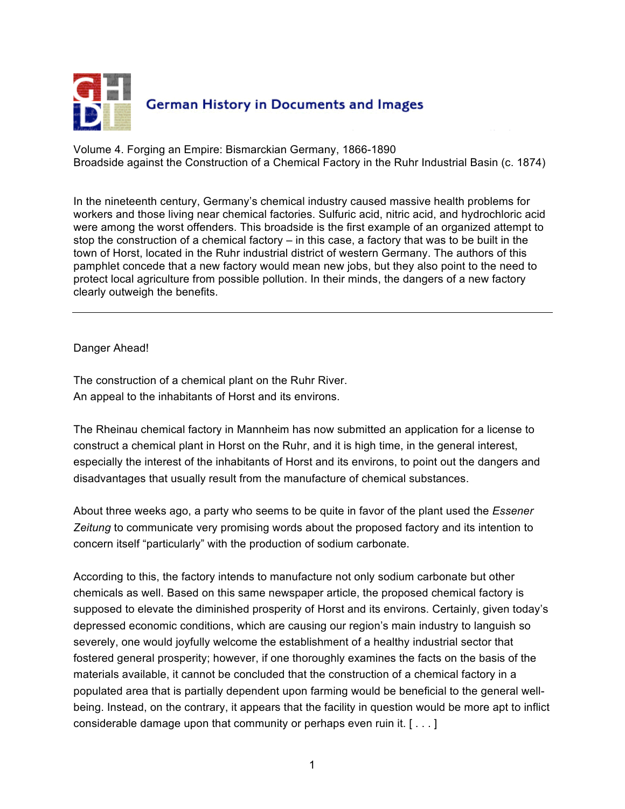

Volume 4. Forging an Empire: Bismarckian Germany, 1866-1890 Broadside against the Construction of a Chemical Factory in the Ruhr Industrial Basin (c. 1874)

In the nineteenth century, Germany's chemical industry caused massive health problems for workers and those living near chemical factories. Sulfuric acid, nitric acid, and hydrochloric acid were among the worst offenders. This broadside is the first example of an organized attempt to stop the construction of a chemical factory  $-$  in this case, a factory that was to be built in the town of Horst, located in the Ruhr industrial district of western Germany. The authors of this pamphlet concede that a new factory would mean new jobs, but they also point to the need to protect local agriculture from possible pollution. In their minds, the dangers of a new factory clearly outweigh the benefits.

Danger Ahead!

The construction of a chemical plant on the Ruhr River. An appeal to the inhabitants of Horst and its environs.

The Rheinau chemical factory in Mannheim has now submitted an application for a license to construct a chemical plant in Horst on the Ruhr, and it is high time, in the general interest, especially the interest of the inhabitants of Horst and its environs, to point out the dangers and disadvantages that usually result from the manufacture of chemical substances.

About three weeks ago, a party who seems to be quite in favor of the plant used the *Essener Zeitung* to communicate very promising words about the proposed factory and its intention to concern itself "particularly" with the production of sodium carbonate.

According to this, the factory intends to manufacture not only sodium carbonate but other chemicals as well. Based on this same newspaper article, the proposed chemical factory is supposed to elevate the diminished prosperity of Horst and its environs. Certainly, given today's depressed economic conditions, which are causing our region's main industry to languish so severely, one would joyfully welcome the establishment of a healthy industrial sector that fostered general prosperity; however, if one thoroughly examines the facts on the basis of the materials available, it cannot be concluded that the construction of a chemical factory in a populated area that is partially dependent upon farming would be beneficial to the general wellbeing. Instead, on the contrary, it appears that the facility in question would be more apt to inflict considerable damage upon that community or perhaps even ruin it. [ . . . ]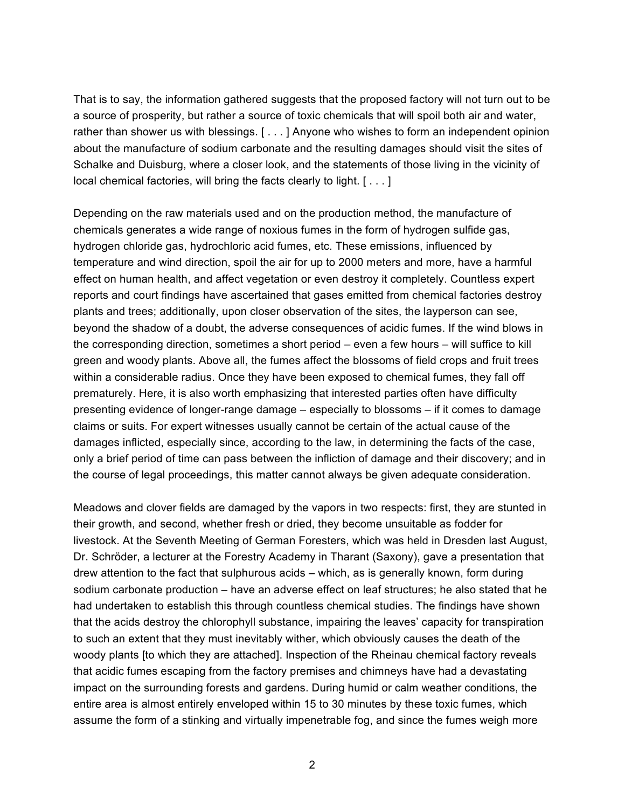That is to say, the information gathered suggests that the proposed factory will not turn out to be a source of prosperity, but rather a source of toxic chemicals that will spoil both air and water, rather than shower us with blessings. [ . . . ] Anyone who wishes to form an independent opinion about the manufacture of sodium carbonate and the resulting damages should visit the sites of Schalke and Duisburg, where a closer look, and the statements of those living in the vicinity of local chemical factories, will bring the facts clearly to light. [ . . . ]

Depending on the raw materials used and on the production method, the manufacture of chemicals generates a wide range of noxious fumes in the form of hydrogen sulfide gas, hydrogen chloride gas, hydrochloric acid fumes, etc. These emissions, influenced by temperature and wind direction, spoil the air for up to 2000 meters and more, have a harmful effect on human health, and affect vegetation or even destroy it completely. Countless expert reports and court findings have ascertained that gases emitted from chemical factories destroy plants and trees; additionally, upon closer observation of the sites, the layperson can see, beyond the shadow of a doubt, the adverse consequences of acidic fumes. If the wind blows in the corresponding direction, sometimes a short period – even a few hours – will suffice to kill green and woody plants. Above all, the fumes affect the blossoms of field crops and fruit trees within a considerable radius. Once they have been exposed to chemical fumes, they fall off prematurely. Here, it is also worth emphasizing that interested parties often have difficulty presenting evidence of longer-range damage – especially to blossoms – if it comes to damage claims or suits. For expert witnesses usually cannot be certain of the actual cause of the damages inflicted, especially since, according to the law, in determining the facts of the case, only a brief period of time can pass between the infliction of damage and their discovery; and in the course of legal proceedings, this matter cannot always be given adequate consideration.

Meadows and clover fields are damaged by the vapors in two respects: first, they are stunted in their growth, and second, whether fresh or dried, they become unsuitable as fodder for livestock. At the Seventh Meeting of German Foresters, which was held in Dresden last August, Dr. Schröder, a lecturer at the Forestry Academy in Tharant (Saxony), gave a presentation that drew attention to the fact that sulphurous acids – which, as is generally known, form during sodium carbonate production – have an adverse effect on leaf structures; he also stated that he had undertaken to establish this through countless chemical studies. The findings have shown that the acids destroy the chlorophyll substance, impairing the leaves' capacity for transpiration to such an extent that they must inevitably wither, which obviously causes the death of the woody plants [to which they are attached]. Inspection of the Rheinau chemical factory reveals that acidic fumes escaping from the factory premises and chimneys have had a devastating impact on the surrounding forests and gardens. During humid or calm weather conditions, the entire area is almost entirely enveloped within 15 to 30 minutes by these toxic fumes, which assume the form of a stinking and virtually impenetrable fog, and since the fumes weigh more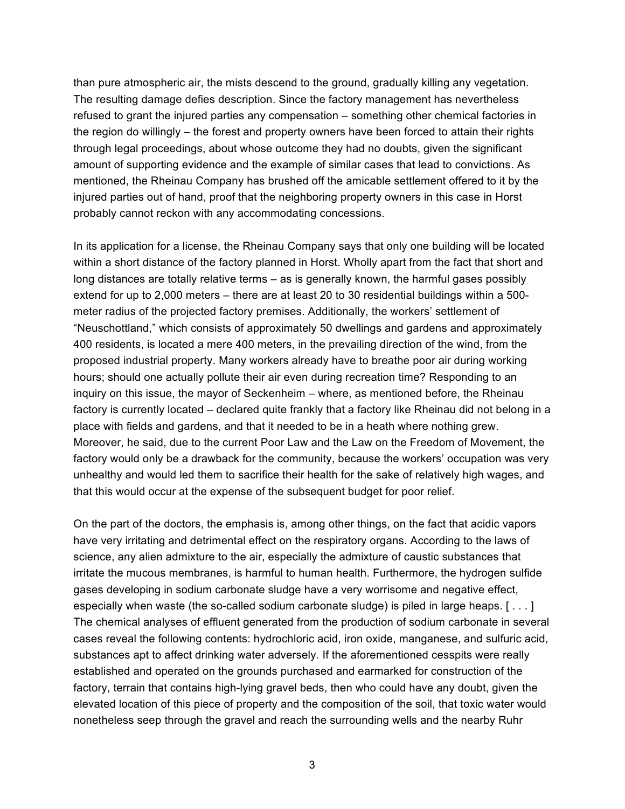than pure atmospheric air, the mists descend to the ground, gradually killing any vegetation. The resulting damage defies description. Since the factory management has nevertheless refused to grant the injured parties any compensation – something other chemical factories in the region do willingly – the forest and property owners have been forced to attain their rights through legal proceedings, about whose outcome they had no doubts, given the significant amount of supporting evidence and the example of similar cases that lead to convictions. As mentioned, the Rheinau Company has brushed off the amicable settlement offered to it by the injured parties out of hand, proof that the neighboring property owners in this case in Horst probably cannot reckon with any accommodating concessions.

In its application for a license, the Rheinau Company says that only one building will be located within a short distance of the factory planned in Horst. Wholly apart from the fact that short and long distances are totally relative terms – as is generally known, the harmful gases possibly extend for up to 2,000 meters – there are at least 20 to 30 residential buildings within a 500 meter radius of the projected factory premises. Additionally, the workers' settlement of "Neuschottland," which consists of approximately 50 dwellings and gardens and approximately 400 residents, is located a mere 400 meters, in the prevailing direction of the wind, from the proposed industrial property. Many workers already have to breathe poor air during working hours; should one actually pollute their air even during recreation time? Responding to an inquiry on this issue, the mayor of Seckenheim – where, as mentioned before, the Rheinau factory is currently located – declared quite frankly that a factory like Rheinau did not belong in a place with fields and gardens, and that it needed to be in a heath where nothing grew. Moreover, he said, due to the current Poor Law and the Law on the Freedom of Movement, the factory would only be a drawback for the community, because the workers' occupation was very unhealthy and would led them to sacrifice their health for the sake of relatively high wages, and that this would occur at the expense of the subsequent budget for poor relief.

On the part of the doctors, the emphasis is, among other things, on the fact that acidic vapors have very irritating and detrimental effect on the respiratory organs. According to the laws of science, any alien admixture to the air, especially the admixture of caustic substances that irritate the mucous membranes, is harmful to human health. Furthermore, the hydrogen sulfide gases developing in sodium carbonate sludge have a very worrisome and negative effect, especially when waste (the so-called sodium carbonate sludge) is piled in large heaps. [ . . . ] The chemical analyses of effluent generated from the production of sodium carbonate in several cases reveal the following contents: hydrochloric acid, iron oxide, manganese, and sulfuric acid, substances apt to affect drinking water adversely. If the aforementioned cesspits were really established and operated on the grounds purchased and earmarked for construction of the factory, terrain that contains high-lying gravel beds, then who could have any doubt, given the elevated location of this piece of property and the composition of the soil, that toxic water would nonetheless seep through the gravel and reach the surrounding wells and the nearby Ruhr

3